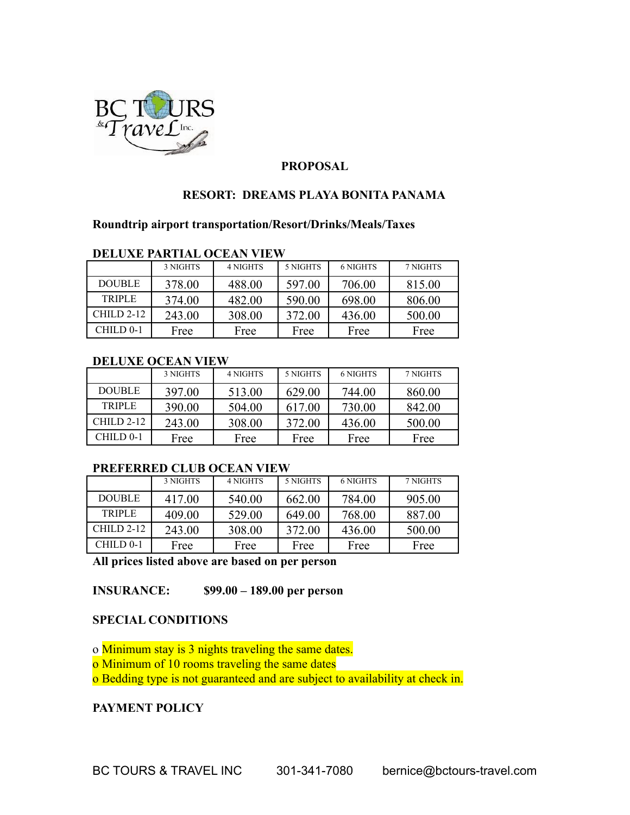

# **PROPOSAL**

# **RESORT: DREAMS PLAYA BONITA PANAMA**

# **Roundtrip airport transportation/Resort/Drinks/Meals/Taxes**

#### **DELUXE PARTIAL OCEAN VIEW**

|               | 3 NIGHTS | <b>4 NIGHTS</b> | 5 NIGHTS | 6 NIGHTS | 7 NIGHTS |
|---------------|----------|-----------------|----------|----------|----------|
| <b>DOUBLE</b> | 378.00   | 488.00          | 597.00   | 706.00   | 815.00   |
| <b>TRIPLE</b> | 374.00   | 482.00          | 590.00   | 698.00   | 806.00   |
| $CHILD 2-12$  | 243.00   | 308.00          | 372.00   | 436.00   | 500.00   |
| CHILD 0-1     | Free     | Free            | Free     | Free     | Free     |

#### **DELUXE OCEAN VIEW**

|               | 3 NIGHTS | 4 NIGHTS | 5 NIGHTS | 6 NIGHTS | 7 NIGHTS |
|---------------|----------|----------|----------|----------|----------|
| <b>DOUBLE</b> | 397.00   | 513.00   | 629.00   | 744.00   | 860.00   |
| <b>TRIPLE</b> | 390.00   | 504.00   | 617.00   | 730.00   | 842.00   |
| $CHILD 2-12$  | 243.00   | 308.00   | 372.00   | 436.00   | 500.00   |
| CHILD 0-1     | Free     | Free     | Free     | Free     | Free     |

## **PREFERRED CLUB OCEAN VIEW**

|               | 3 NIGHTS | <b>4 NIGHTS</b> | 5 NIGHTS | 6 NIGHTS | 7 NIGHTS |
|---------------|----------|-----------------|----------|----------|----------|
| <b>DOUBLE</b> | 417.00   | 540.00          | 662.00   | 784.00   | 905.00   |
| <b>TRIPLE</b> | 409.00   | 529.00          | 649.00   | 768.00   | 887.00   |
| $CHILD 2-12$  | 243.00   | 308.00          | 372.00   | 436.00   | 500.00   |
| $CHILD 0-1$   | Free     | Free            | Free     | Free     | Free     |

**All prices listed above are based on per person**

**INSURANCE: \$99.00 – 189.00 per person**

## **SPECIAL CONDITIONS**

o Minimum stay is 3 nights traveling the same dates. o Minimum of 10 rooms traveling the same dates o Bedding type is not guaranteed and are subject to availability at check in.

## **PAYMENT POLICY**